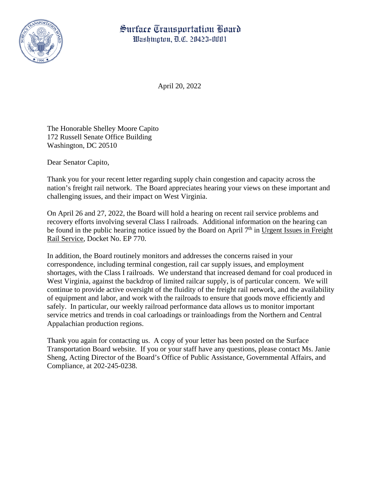## Surface Transportation Board Washington, D.C. 20423-0001



April 20, 2022

The Honorable Shelley Moore Capito 172 Russell Senate Office Building Washington, DC 20510

Dear Senator Capito,

Thank you for your recent letter regarding supply chain congestion and capacity across the nation's freight rail network. The Board appreciates hearing your views on these important and challenging issues, and their impact on West Virginia.

On April 26 and 27, 2022, the Board will hold a hearing on recent rail service problems and recovery efforts involving several Class I railroads. Additional information on the hearing can be found in the public hearing notice issued by the Board on April  $7<sup>th</sup>$  in Urgent Issues in Freight Rail Service, Docket No. EP 770.

In addition, the Board routinely monitors and addresses the concerns raised in your correspondence, including terminal congestion, rail car supply issues, and employment shortages, with the Class I railroads. We understand that increased demand for coal produced in West Virginia, against the backdrop of limited railcar supply, is of particular concern. We will continue to provide active oversight of the fluidity of the freight rail network, and the availability of equipment and labor, and work with the railroads to ensure that goods move efficiently and safely. In particular, our weekly railroad performance data allows us to monitor important service metrics and trends in coal carloadings or trainloadings from the Northern and Central Appalachian production regions.

Thank you again for contacting us. A copy of your letter has been posted on the Surface Transportation Board website. If you or your staff have any questions, please contact Ms. Janie Sheng, Acting Director of the Board's Office of Public Assistance, Governmental Affairs, and Compliance, at 202-245-0238.